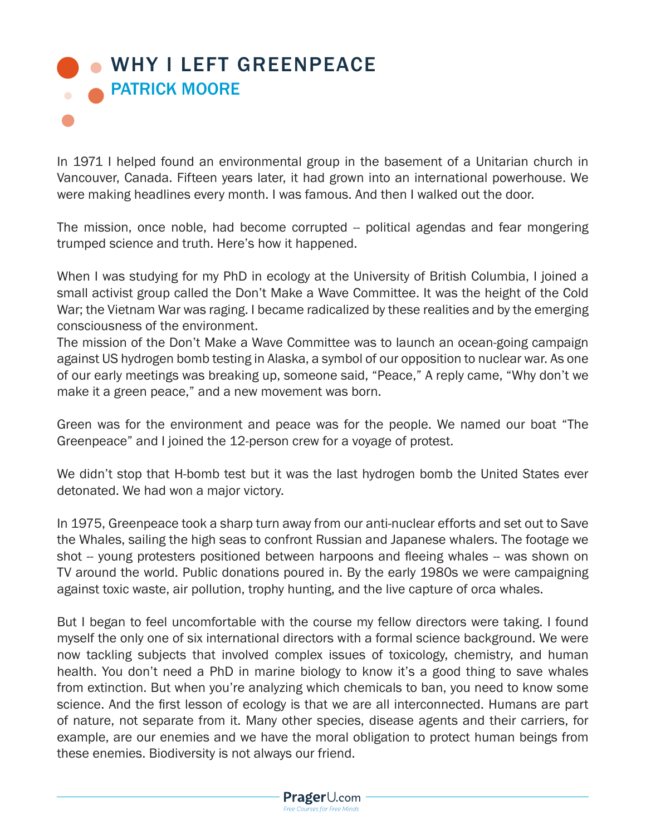## [WHY I LEFT GREENPEACE](http://www.prageru.com/Environmental-Science/Why-I-Left-Greenpeace.html) **RATRICK MOORE**

In 1971 I helped found an environmental group in the basement of a Unitarian church in Vancouver, Canada. Fifteen years later, it had grown into an international powerhouse. We were making headlines every month. I was famous. And then I walked out the door.

The mission, once noble, had become corrupted -- political agendas and fear mongering trumped science and truth. Here's how it happened.

When I was studying for my PhD in ecology at the University of British Columbia, I joined a small activist group called the Don't Make a Wave Committee. It was the height of the Cold War; the Vietnam War was raging. I became radicalized by these realities and by the emerging consciousness of the environment.

The mission of the Don't Make a Wave Committee was to launch an ocean-going campaign against US hydrogen bomb testing in Alaska, a symbol of our opposition to nuclear war. As one of our early meetings was breaking up, someone said, "Peace," A reply came, "Why don't we make it a green peace," and a new movement was born.

Green was for the environment and peace was for the people. We named our boat "The Greenpeace" and I joined the 12-person crew for a voyage of protest.

We didn't stop that H-bomb test but it was the last hydrogen bomb the United States ever detonated. We had won a major victory.

In 1975, Greenpeace took a sharp turn away from our anti-nuclear efforts and set out to Save the Whales, sailing the high seas to confront Russian and Japanese whalers. The footage we shot -- young protesters positioned between harpoons and fleeing whales -- was shown on TV around the world. Public donations poured in. By the early 1980s we were campaigning against toxic waste, air pollution, trophy hunting, and the live capture of orca whales.

But I began to feel uncomfortable with the course my fellow directors were taking. I found myself the only one of six international directors with a formal science background. We were now tackling subjects that involved complex issues of toxicology, chemistry, and human health. You don't need a PhD in marine biology to know it's a good thing to save whales from extinction. But when you're analyzing which chemicals to ban, you need to know some science. And the first lesson of ecology is that we are all interconnected. Humans are part of nature, not separate from it. Many other species, disease agents and their carriers, for example, are our enemies and we have the moral obligation to protect human beings from these enemies. Biodiversity is not always our friend.